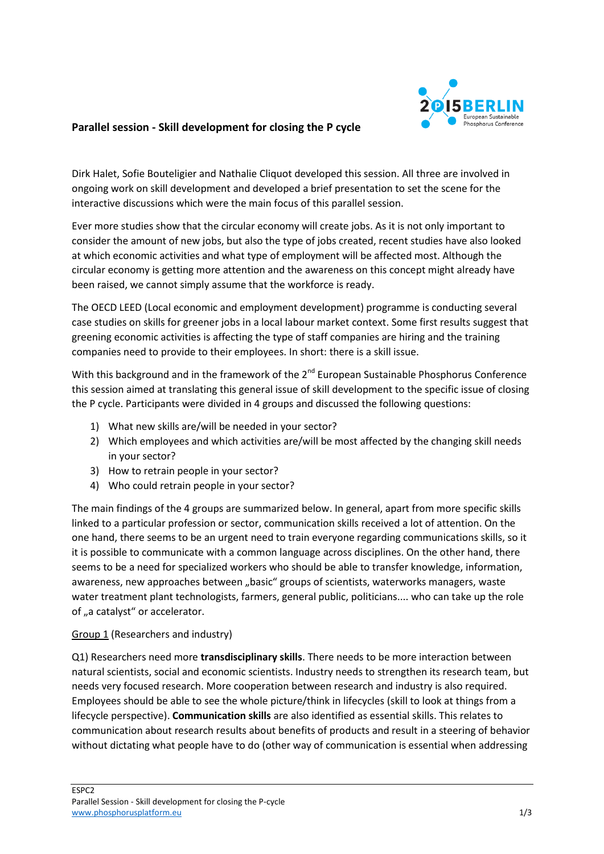

## **Parallel session - Skill development for closing the P cycle**

Dirk Halet, Sofie Bouteligier and Nathalie Cliquot developed this session. All three are involved in ongoing work on skill development and developed a brief presentation to set the scene for the interactive discussions which were the main focus of this parallel session.

Ever more studies show that the circular economy will create jobs. As it is not only important to consider the amount of new jobs, but also the type of jobs created, recent studies have also looked at which economic activities and what type of employment will be affected most. Although the circular economy is getting more attention and the awareness on this concept might already have been raised, we cannot simply assume that the workforce is ready.

The OECD LEED (Local economic and employment development) programme is conducting several case studies on skills for greener jobs in a local labour market context. Some first results suggest that greening economic activities is affecting the type of staff companies are hiring and the training companies need to provide to their employees. In short: there is a skill issue.

With this background and in the framework of the  $2^{nd}$  European Sustainable Phosphorus Conference this session aimed at translating this general issue of skill development to the specific issue of closing the P cycle. Participants were divided in 4 groups and discussed the following questions:

- 1) What new skills are/will be needed in your sector?
- 2) Which employees and which activities are/will be most affected by the changing skill needs in your sector?
- 3) How to retrain people in your sector?
- 4) Who could retrain people in your sector?

The main findings of the 4 groups are summarized below. In general, apart from more specific skills linked to a particular profession or sector, communication skills received a lot of attention. On the one hand, there seems to be an urgent need to train everyone regarding communications skills, so it it is possible to communicate with a common language across disciplines. On the other hand, there seems to be a need for specialized workers who should be able to transfer knowledge, information, awareness, new approaches between "basic" groups of scientists, waterworks managers, waste water treatment plant technologists, farmers, general public, politicians.... who can take up the role of "a catalyst" or accelerator.

### Group 1 (Researchers and industry)

Q1) Researchers need more **transdisciplinary skills**. There needs to be more interaction between natural scientists, social and economic scientists. Industry needs to strengthen its research team, but needs very focused research. More cooperation between research and industry is also required. Employees should be able to see the whole picture/think in lifecycles (skill to look at things from a lifecycle perspective). **Communication skills** are also identified as essential skills. This relates to communication about research results about benefits of products and result in a steering of behavior without dictating what people have to do (other way of communication is essential when addressing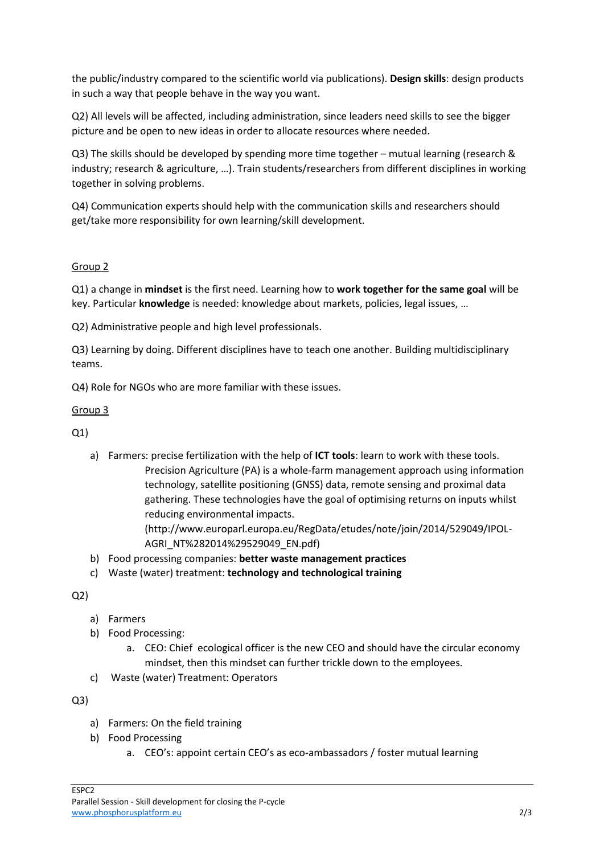the public/industry compared to the scientific world via publications). **Design skills**: design products in such a way that people behave in the way you want.

Q2) All levels will be affected, including administration, since leaders need skills to see the bigger picture and be open to new ideas in order to allocate resources where needed.

Q3) The skills should be developed by spending more time together – mutual learning (research & industry; research & agriculture, …). Train students/researchers from different disciplines in working together in solving problems.

Q4) Communication experts should help with the communication skills and researchers should get/take more responsibility for own learning/skill development.

# Group 2

Q1) a change in **mindset** is the first need. Learning how to **work together for the same goal** will be key. Particular **knowledge** is needed: knowledge about markets, policies, legal issues, …

Q2) Administrative people and high level professionals.

Q3) Learning by doing. Different disciplines have to teach one another. Building multidisciplinary teams.

Q4) Role for NGOs who are more familiar with these issues.

### Group 3

Q1)

a) Farmers: precise fertilization with the help of **ICT tools**: learn to work with these tools. Precision Agriculture (PA) is a whole-farm management approach using information technology, satellite positioning (GNSS) data, remote sensing and proximal data gathering. These technologies have the goal of optimising returns on inputs whilst reducing environmental impacts. (http://www.europarl.europa.eu/RegData/etudes/note/join/2014/529049/IPOL-AGRI\_NT%282014%29529049\_EN.pdf)

b) Food processing companies: **better waste management practices**

c) Waste (water) treatment: **technology and technological training**

### Q2)

- a) Farmers
- b) Food Processing:
	- a. CEO: Chief ecological officer is the new CEO and should have the circular economy mindset, then this mindset can further trickle down to the employees.
- c) Waste (water) Treatment: Operators

### Q3)

- a) Farmers: On the field training
- b) Food Processing
	- a. CEO's: appoint certain CEO's as eco-ambassadors / foster mutual learning

ESPC2 Parallel Session - Skill development for closing the P-cycle [www.phosphorusplatform.eu](http://www.phosphorusplatform.eu/) 2/3